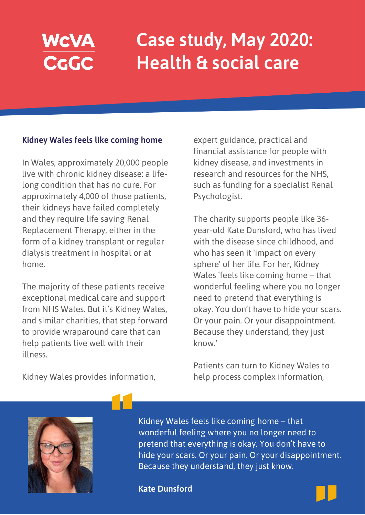## WCVA<br>CGGC

## **Case study, May 2020: Health & social care**

## **Kidney Wales feels like coming home**

In Wales, approximately 20,000 people live with chronic kidney disease: a lifelong condition that has no cure. For approximately 4,000 of those patients, their kidneys have failed completely and they require life saving Renal Replacement Therapy, either in the form of a kidney transplant or regular dialysis treatment in hospital or at home.

The majority of these patients receive exceptional medical care and support from NHS Wales. But it's Kidney Wales, and similar charities, that step forward to provide wraparound care that can help patients live well with their illness.

expert guidance, practical and financial assistance for people with kidney disease, and investments in research and resources for the NHS, such as funding for a specialist Renal Psychologist.

The charity supports people like 36 year-old Kate Dunsford, who has lived with the disease since childhood, and who has seen it 'impact on every sphere' of her life. For her, Kidney Wales 'feels like coming home – that wonderful feeling where you no longer need to pretend that everything is okay. You don't have to hide your scars. Or your pain. Or your disappointment. Because they understand, they just know.'

Patients can turn to Kidney Wales to help process complex information,

Kidney Wales provides information,



Kidney Wales feels like coming home – that wonderful feeling where you no longer need to pretend that everything is okay. You don't have to hide your scars. Or your pain. Or your disappointment. Because they understand, they just know.

## **Kate Dunsford**

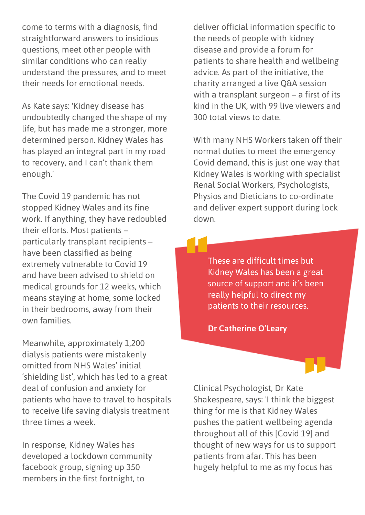come to terms with a diagnosis, find straightforward answers to insidious questions, meet other people with similar conditions who can really understand the pressures, and to meet their needs for emotional needs.

As Kate says: 'Kidney disease has undoubtedly changed the shape of my life, but has made me a stronger, more determined person. Kidney Wales has has played an integral part in my road to recovery, and I can't thank them enough.'

The Covid 19 pandemic has not stopped Kidney Wales and its fine work. If anything, they have redoubled their efforts. Most patients – particularly transplant recipients – have been classified as being extremely vulnerable to Covid 19 and have been advised to shield on medical grounds for 12 weeks, which means staying at home, some locked in their bedrooms, away from their own families.

Meanwhile, approximately 1,200 dialysis patients were mistakenly omitted from NHS Wales' initial 'shielding list', which has led to a great deal of confusion and anxiety for patients who have to travel to hospitals to receive life saving dialysis treatment three times a week.

In response, Kidney Wales has developed a lockdown community facebook group, signing up 350 members in the first fortnight, to

deliver official information specific to the needs of people with kidney disease and provide a forum for patients to share health and wellbeing advice. As part of the initiative, the charity arranged a live Q&A session with a transplant surgeon – a first of its kind in the UK, with 99 live viewers and 300 total views to date.

With many NHS Workers taken off their normal duties to meet the emergency Covid demand, this is just one way that Kidney Wales is working with specialist Renal Social Workers, Psychologists, Physios and Dieticians to co-ordinate and deliver expert support during lock down.

These are difficult times but Kidney Wales has been a great source of support and it's been really helpful to direct my patients to their resources.

**Dr Catherine O'Leary**

Clinical Psychologist, Dr Kate Shakespeare, says: 'I think the biggest thing for me is that Kidney Wales pushes the patient wellbeing agenda throughout all of this [Covid 19] and thought of new ways for us to support patients from afar. This has been hugely helpful to me as my focus has